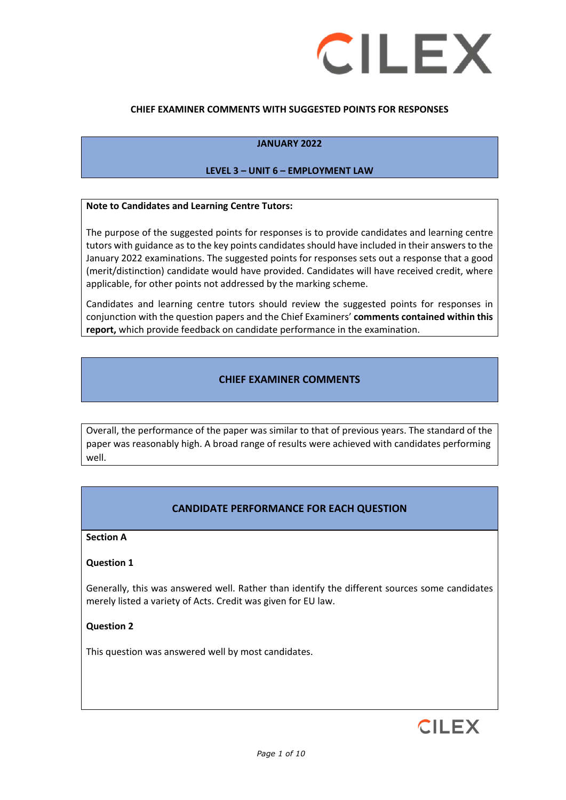

#### **CHIEF EXAMINER COMMENTS WITH SUGGESTED POINTS FOR RESPONSES**

#### **JANUARY 2022**

#### **LEVEL 3 – UNIT 6 – EMPLOYMENT LAW**

#### **Note to Candidates and Learning Centre Tutors:**

The purpose of the suggested points for responses is to provide candidates and learning centre tutors with guidance as to the key points candidates should have included in their answers to the January 2022 examinations. The suggested points for responses sets out a response that a good (merit/distinction) candidate would have provided. Candidates will have received credit, where applicable, for other points not addressed by the marking scheme.

Candidates and learning centre tutors should review the suggested points for responses in conjunction with the question papers and the Chief Examiners' **comments contained within this report,** which provide feedback on candidate performance in the examination.

### **CHIEF EXAMINER COMMENTS**

Overall, the performance of the paper was similar to that of previous years. The standard of the paper was reasonably high. A broad range of results were achieved with candidates performing well.

#### **CANDIDATE PERFORMANCE FOR EACH QUESTION**

#### **Section A**

#### **Question 1**

Generally, this was answered well. Rather than identify the different sources some candidates merely listed a variety of Acts. Credit was given for EU law.

#### **Question 2**

This question was answered well by most candidates.

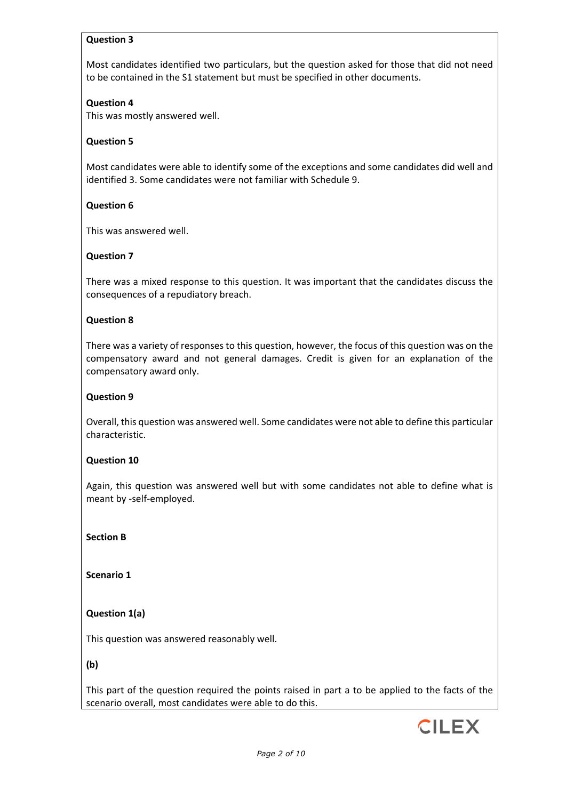### **Question 3**

Most candidates identified two particulars, but the question asked for those that did not need to be contained in the S1 statement but must be specified in other documents.

#### **Question 4**

This was mostly answered well.

### **Question 5**

Most candidates were able to identify some of the exceptions and some candidates did well and identified 3. Some candidates were not familiar with Schedule 9.

### **Question 6**

This was answered well.

### **Question 7**

There was a mixed response to this question. It was important that the candidates discuss the consequences of a repudiatory breach.

#### **Question 8**

There was a variety of responses to this question, however, the focus of this question was on the compensatory award and not general damages. Credit is given for an explanation of the compensatory award only.

#### **Question 9**

Overall, this question was answered well. Some candidates were not able to define this particular characteristic.

#### **Question 10**

Again, this question was answered well but with some candidates not able to define what is meant by -self-employed.

**Section B**

**Scenario 1**

### **Question 1(a)**

This question was answered reasonably well.

**(b)**

This part of the question required the points raised in part a to be applied to the facts of the scenario overall, most candidates were able to do this.

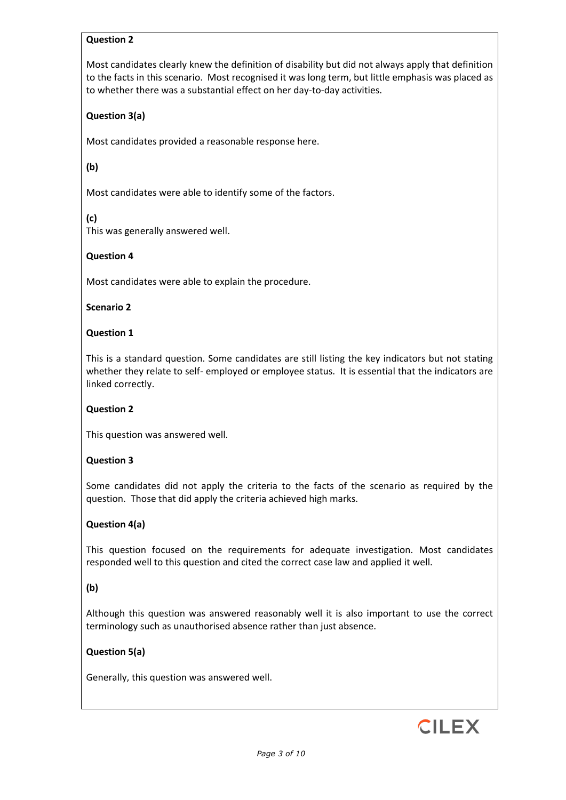### **Question 2**

Most candidates clearly knew the definition of disability but did not always apply that definition to the facts in this scenario. Most recognised it was long term, but little emphasis was placed as to whether there was a substantial effect on her day-to-day activities.

## **Question 3(a)**

Most candidates provided a reasonable response here.

## **(b)**

Most candidates were able to identify some of the factors.

### **(c)**

This was generally answered well.

### **Question 4**

Most candidates were able to explain the procedure.

#### **Scenario 2**

### **Question 1**

This is a standard question. Some candidates are still listing the key indicators but not stating whether they relate to self- employed or employee status. It is essential that the indicators are linked correctly.

#### **Question 2**

This question was answered well.

#### **Question 3**

Some candidates did not apply the criteria to the facts of the scenario as required by the question. Those that did apply the criteria achieved high marks.

### **Question 4(a)**

This question focused on the requirements for adequate investigation. Most candidates responded well to this question and cited the correct case law and applied it well.

#### **(b)**

Although this question was answered reasonably well it is also important to use the correct terminology such as unauthorised absence rather than just absence.

### **Question 5(a)**

Generally, this question was answered well.

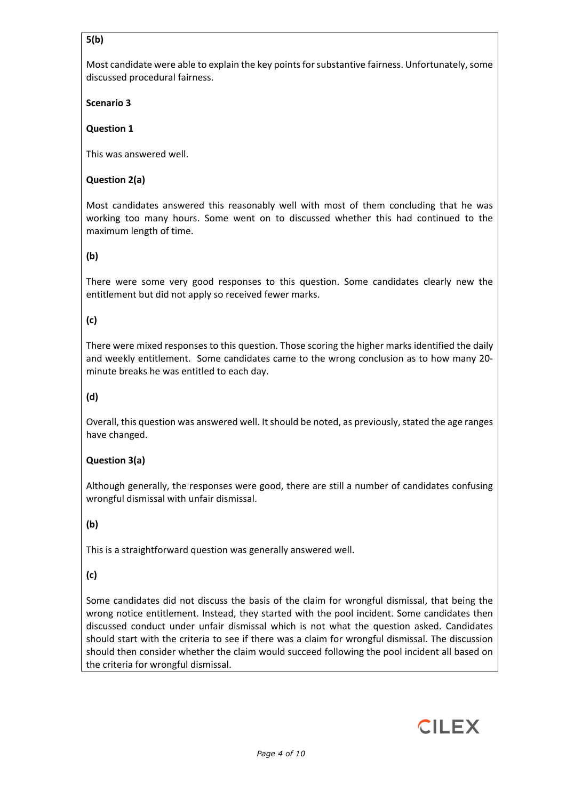# **5(b)**

Most candidate were able to explain the key points for substantive fairness. Unfortunately, some discussed procedural fairness.

**Scenario 3**

# **Question 1**

This was answered well.

# **Question 2(a)**

Most candidates answered this reasonably well with most of them concluding that he was working too many hours. Some went on to discussed whether this had continued to the maximum length of time.

# **(b)**

There were some very good responses to this question. Some candidates clearly new the entitlement but did not apply so received fewer marks.

# **(c)**

There were mixed responses to this question. Those scoring the higher marks identified the daily and weekly entitlement. Some candidates came to the wrong conclusion as to how many 20 minute breaks he was entitled to each day.

# **(d)**

Overall, this question was answered well. It should be noted, as previously, stated the age ranges have changed.

# **Question 3(a)**

Although generally, the responses were good, there are still a number of candidates confusing wrongful dismissal with unfair dismissal.

# **(b)**

This is a straightforward question was generally answered well.

# **(c)**

Some candidates did not discuss the basis of the claim for wrongful dismissal, that being the wrong notice entitlement. Instead, they started with the pool incident. Some candidates then discussed conduct under unfair dismissal which is not what the question asked. Candidates should start with the criteria to see if there was a claim for wrongful dismissal. The discussion should then consider whether the claim would succeed following the pool incident all based on the criteria for wrongful dismissal.

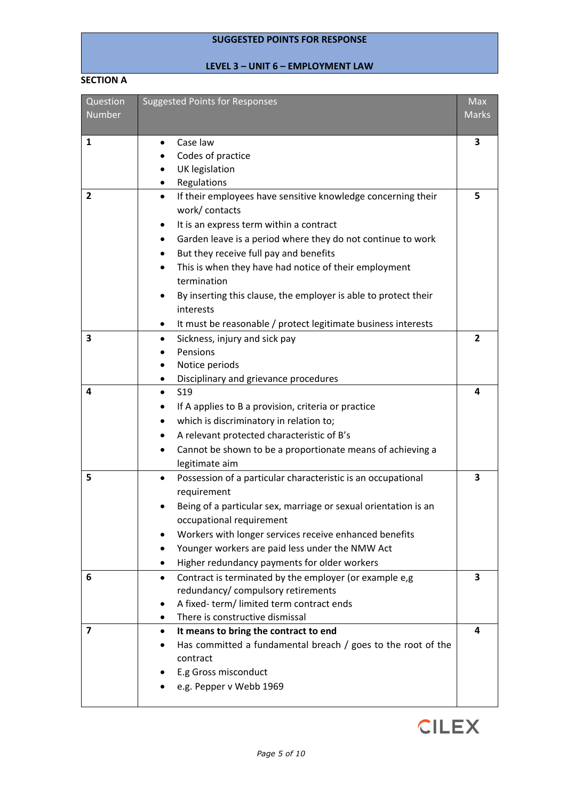# **SUGGESTED POINTS FOR RESPONSE**

# **LEVEL 3 – UNIT 6 – EMPLOYMENT LAW**

#### **SECTION A**

| Question     | <b>Suggested Points for Responses</b>                                     | Max            |
|--------------|---------------------------------------------------------------------------|----------------|
| Number       |                                                                           | <b>Marks</b>   |
| $\mathbf{1}$ | Case law                                                                  | 3              |
|              | Codes of practice                                                         |                |
|              | UK legislation                                                            |                |
|              | Regulations                                                               |                |
| $\mathbf{2}$ | If their employees have sensitive knowledge concerning their<br>$\bullet$ | 5              |
|              | work/contacts                                                             |                |
|              | It is an express term within a contract                                   |                |
|              | Garden leave is a period where they do not continue to work               |                |
|              | But they receive full pay and benefits                                    |                |
|              | This is when they have had notice of their employment                     |                |
|              | termination                                                               |                |
|              | By inserting this clause, the employer is able to protect their           |                |
|              | interests                                                                 |                |
|              | It must be reasonable / protect legitimate business interests<br>٠        |                |
| 3            | Sickness, injury and sick pay                                             | $\overline{2}$ |
|              | Pensions                                                                  |                |
|              | Notice periods                                                            |                |
|              | Disciplinary and grievance procedures                                     |                |
| 4            | <b>S19</b>                                                                | 4              |
|              | If A applies to B a provision, criteria or practice                       |                |
|              | which is discriminatory in relation to;<br>٠                              |                |
|              | A relevant protected characteristic of B's                                |                |
|              | Cannot be shown to be a proportionate means of achieving a                |                |
|              | legitimate aim                                                            |                |
| 5            | Possession of a particular characteristic is an occupational              | 3              |
|              | requirement                                                               |                |
|              | Being of a particular sex, marriage or sexual orientation is an           |                |
|              | occupational requirement                                                  |                |
|              | Workers with longer services receive enhanced benefits                    |                |
|              | Younger workers are paid less under the NMW Act                           |                |
|              | Higher redundancy payments for older workers                              |                |
| 6            | Contract is terminated by the employer (or example e,g)<br>$\bullet$      | 3              |
|              | redundancy/ compulsory retirements                                        |                |
|              | A fixed-term/limited term contract ends                                   |                |
|              | There is constructive dismissal                                           |                |
| 7            | It means to bring the contract to end                                     | 4              |
|              | Has committed a fundamental breach / goes to the root of the              |                |
|              | contract                                                                  |                |
|              | E.g Gross misconduct                                                      |                |
|              | e.g. Pepper v Webb 1969                                                   |                |
|              |                                                                           |                |

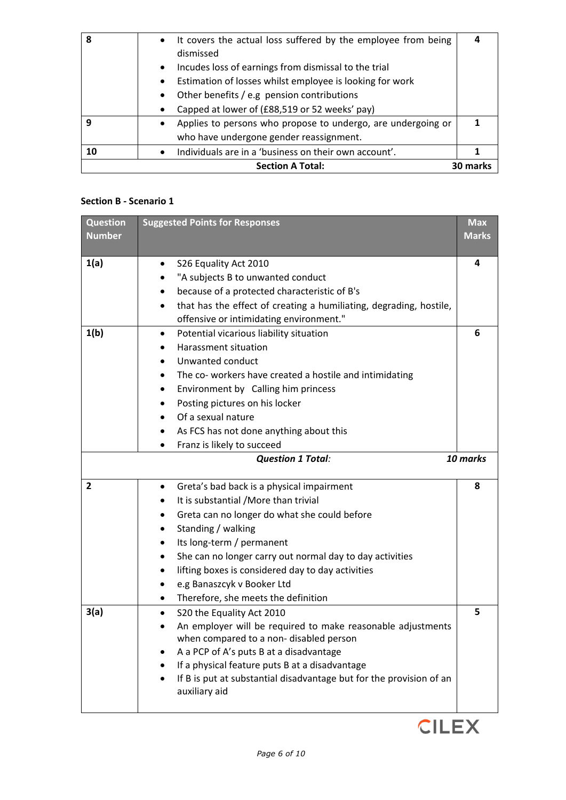| 8  | • It covers the actual loss suffered by the employee from being           |                 |
|----|---------------------------------------------------------------------------|-----------------|
|    | dismissed                                                                 |                 |
|    | Incudes loss of earnings from dismissal to the trial<br>$\bullet$         |                 |
|    | Estimation of losses whilst employee is looking for work<br>$\bullet$     |                 |
|    | Other benefits / e.g pension contributions                                |                 |
|    | Capped at lower of (£88,519 or 52 weeks' pay)                             |                 |
| q  | Applies to persons who propose to undergo, are undergoing or<br>$\bullet$ |                 |
|    | who have undergone gender reassignment.                                   |                 |
| 10 | Individuals are in a 'business on their own account'.<br>$\bullet$        |                 |
|    | <b>Section A Total:</b>                                                   | <b>30 marks</b> |

## **Section B - Scenario 1**

| <b>Question</b><br><b>Number</b> | <b>Suggested Points for Responses</b>                                                                                                                                                                                                                                                                                                                                                    | <b>Max</b><br><b>Marks</b> |
|----------------------------------|------------------------------------------------------------------------------------------------------------------------------------------------------------------------------------------------------------------------------------------------------------------------------------------------------------------------------------------------------------------------------------------|----------------------------|
| 1(a)                             | S26 Equality Act 2010<br>"A subjects B to unwanted conduct<br>because of a protected characteristic of B's<br>that has the effect of creating a humiliating, degrading, hostile,<br>offensive or intimidating environment."                                                                                                                                                              | 4                          |
| 1(b)                             | Potential vicarious liability situation<br>٠<br>Harassment situation<br>Unwanted conduct<br>The co-workers have created a hostile and intimidating<br>Environment by Calling him princess<br>Posting pictures on his locker<br>Of a sexual nature<br>As FCS has not done anything about this<br>Franz is likely to succeed<br><b>Question 1 Total:</b>                                   | 6<br>10 marks              |
| $\overline{2}$                   | Greta's bad back is a physical impairment<br>$\bullet$<br>It is substantial / More than trivial<br>Greta can no longer do what she could before<br>Standing / walking<br>Its long-term / permanent<br>She can no longer carry out normal day to day activities<br>lifting boxes is considered day to day activities<br>e.g Banaszcyk v Booker Ltd<br>Therefore, she meets the definition | 8                          |
| 3(a)                             | S20 the Equality Act 2010<br>$\bullet$<br>An employer will be required to make reasonable adjustments<br>when compared to a non- disabled person<br>A a PCP of A's puts B at a disadvantage<br>If a physical feature puts B at a disadvantage<br>If B is put at substantial disadvantage but for the provision of an<br>auxiliary aid                                                    | 5                          |

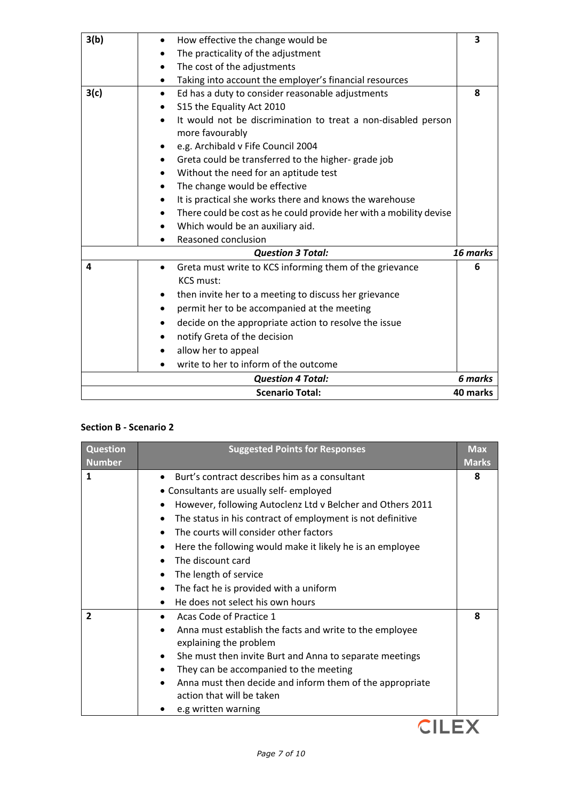| How effective the change would be<br>$\bullet$                                   | $\overline{\mathbf{3}}$ |
|----------------------------------------------------------------------------------|-------------------------|
| The practicality of the adjustment                                               |                         |
| The cost of the adjustments                                                      |                         |
| Taking into account the employer's financial resources                           |                         |
| Ed has a duty to consider reasonable adjustments<br>$\bullet$                    | 8                       |
| S15 the Equality Act 2010                                                        |                         |
| It would not be discrimination to treat a non-disabled person<br>more favourably |                         |
| e.g. Archibald v Fife Council 2004                                               |                         |
| Greta could be transferred to the higher-grade job<br>$\bullet$                  |                         |
| Without the need for an aptitude test                                            |                         |
| The change would be effective<br>$\bullet$                                       |                         |
| It is practical she works there and knows the warehouse                          |                         |
| There could be cost as he could provide her with a mobility devise               |                         |
| Which would be an auxiliary aid.<br>$\bullet$                                    |                         |
| Reasoned conclusion                                                              |                         |
| <b>Question 3 Total:</b>                                                         | 16 marks                |
| Greta must write to KCS informing them of the grievance<br><b>KCS must:</b>      | 6                       |
| then invite her to a meeting to discuss her grievance<br>$\bullet$               |                         |
| permit her to be accompanied at the meeting                                      |                         |
| decide on the appropriate action to resolve the issue                            |                         |
|                                                                                  |                         |
| notify Greta of the decision                                                     |                         |
| allow her to appeal                                                              |                         |
| write to her to inform of the outcome                                            |                         |
| <b>Question 4 Total:</b>                                                         | 6 marks                 |
|                                                                                  |                         |

# **Section B - Scenario 2**

| <b>Question</b> | <b>Suggested Points for Responses</b>                                  | <b>Max</b>   |
|-----------------|------------------------------------------------------------------------|--------------|
| <b>Number</b>   |                                                                        | <b>Marks</b> |
| 1               | Burt's contract describes him as a consultant                          | 8            |
|                 | • Consultants are usually self-employed                                |              |
|                 | However, following Autoclenz Ltd v Belcher and Others 2011             |              |
|                 | The status in his contract of employment is not definitive<br>٠        |              |
|                 | The courts will consider other factors<br>$\bullet$                    |              |
|                 | Here the following would make it likely he is an employee<br>$\bullet$ |              |
|                 | The discount card                                                      |              |
|                 | The length of service<br>٠                                             |              |
|                 | The fact he is provided with a uniform<br>$\bullet$                    |              |
|                 | He does not select his own hours                                       |              |
| $\overline{2}$  | Acas Code of Practice 1                                                | 8            |
|                 | Anna must establish the facts and write to the employee                |              |
|                 | explaining the problem                                                 |              |
|                 | She must then invite Burt and Anna to separate meetings<br>$\bullet$   |              |
|                 | They can be accompanied to the meeting                                 |              |
|                 | Anna must then decide and inform them of the appropriate               |              |
|                 | action that will be taken                                              |              |
|                 | e.g written warning                                                    |              |

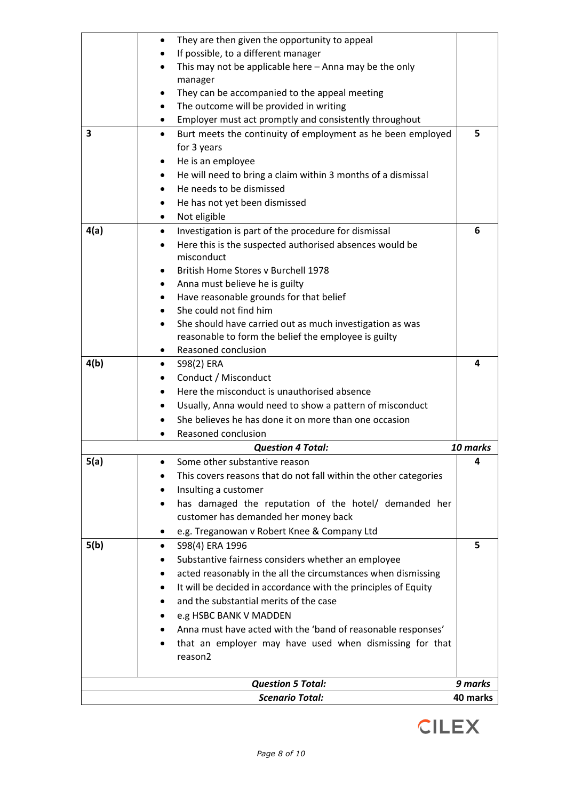|      | They are then given the opportunity to appeal<br>$\bullet$                              |          |
|------|-----------------------------------------------------------------------------------------|----------|
|      | If possible, to a different manager                                                     |          |
|      | This may not be applicable here - Anna may be the only                                  |          |
|      | manager                                                                                 |          |
|      | They can be accompanied to the appeal meeting                                           |          |
|      | The outcome will be provided in writing                                                 |          |
|      | Employer must act promptly and consistently throughout                                  |          |
| 3    | Burt meets the continuity of employment as he been employed<br>$\bullet$<br>for 3 years | 5        |
|      | He is an employee<br>٠                                                                  |          |
|      | He will need to bring a claim within 3 months of a dismissal                            |          |
|      | He needs to be dismissed                                                                |          |
|      | He has not yet been dismissed                                                           |          |
|      | Not eligible<br>$\bullet$                                                               |          |
| 4(a) | Investigation is part of the procedure for dismissal                                    | 6        |
|      | Here this is the suspected authorised absences would be                                 |          |
|      | misconduct                                                                              |          |
|      | British Home Stores v Burchell 1978                                                     |          |
|      | Anna must believe he is guilty                                                          |          |
|      | Have reasonable grounds for that belief                                                 |          |
|      | She could not find him                                                                  |          |
|      | She should have carried out as much investigation as was                                |          |
|      | reasonable to form the belief the employee is guilty                                    |          |
|      | Reasoned conclusion                                                                     |          |
| 4(b) | S98(2) ERA<br>$\bullet$                                                                 | 4        |
|      | Conduct / Misconduct                                                                    |          |
|      | Here the misconduct is unauthorised absence                                             |          |
|      | Usually, Anna would need to show a pattern of misconduct                                |          |
|      | She believes he has done it on more than one occasion                                   |          |
|      | Reasoned conclusion                                                                     |          |
|      | <b>Question 4 Total:</b>                                                                | 10 marks |
| 5(a) | Some other substantive reason                                                           | 4        |
|      | This covers reasons that do not fall within the other categories                        |          |
|      | Insulting a customer                                                                    |          |
|      | has damaged the reputation of the hotel/ demanded her                                   |          |
|      | customer has demanded her money back                                                    |          |
|      | e.g. Treganowan v Robert Knee & Company Ltd<br>٠                                        |          |
| 5(b) | S98(4) ERA 1996                                                                         | 5        |
|      | Substantive fairness considers whether an employee                                      |          |
|      | acted reasonably in the all the circumstances when dismissing                           |          |
|      | It will be decided in accordance with the principles of Equity                          |          |
|      | and the substantial merits of the case                                                  |          |
|      | e.g HSBC BANK V MADDEN                                                                  |          |
|      | Anna must have acted with the 'band of reasonable responses'                            |          |
|      | that an employer may have used when dismissing for that                                 |          |
|      | reason2                                                                                 |          |
|      | <b>Question 5 Total:</b>                                                                | 9 marks  |
|      | <b>Scenario Total:</b>                                                                  | 40 marks |

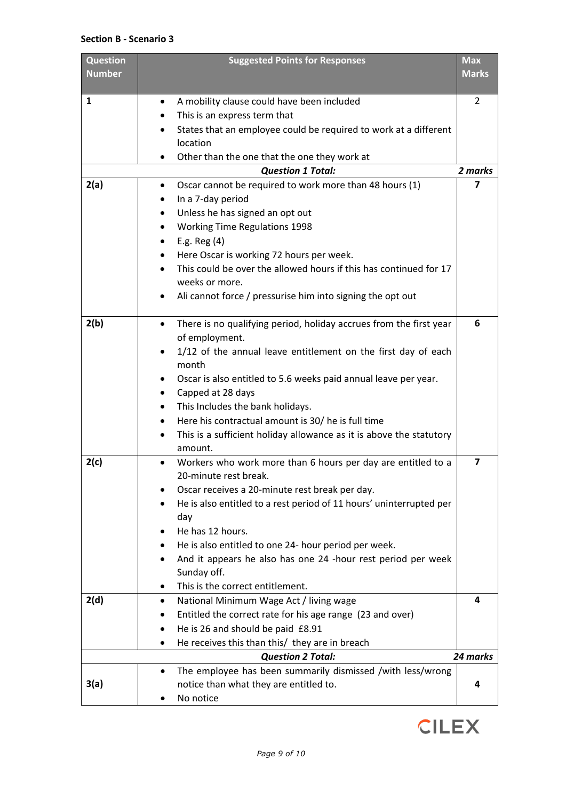### **Section B - Scenario 3**

| <b>Question</b><br><b>Number</b> | <b>Suggested Points for Responses</b>                                                 | <b>Max</b><br><b>Marks</b> |
|----------------------------------|---------------------------------------------------------------------------------------|----------------------------|
| $\mathbf{1}$                     | A mobility clause could have been included<br>٠                                       | 2                          |
|                                  | This is an express term that                                                          |                            |
|                                  | States that an employee could be required to work at a different<br>$\bullet$         |                            |
|                                  | location                                                                              |                            |
|                                  | Other than the one that the one they work at<br>٠                                     |                            |
|                                  | <b>Question 1 Total:</b>                                                              | 2 marks                    |
| 2(a)                             | Oscar cannot be required to work more than 48 hours (1)<br>$\bullet$                  | 7                          |
|                                  | In a 7-day period<br>٠                                                                |                            |
|                                  | Unless he has signed an opt out<br>$\bullet$                                          |                            |
|                                  | <b>Working Time Regulations 1998</b>                                                  |                            |
|                                  | E.g. Reg $(4)$                                                                        |                            |
|                                  | Here Oscar is working 72 hours per week.<br>$\bullet$                                 |                            |
|                                  | This could be over the allowed hours if this has continued for 17                     |                            |
|                                  | weeks or more.                                                                        |                            |
|                                  | Ali cannot force / pressurise him into signing the opt out<br>٠                       |                            |
| 2(b)                             | There is no qualifying period, holiday accrues from the first year<br>$\bullet$       | 6                          |
|                                  | of employment.                                                                        |                            |
|                                  | 1/12 of the annual leave entitlement on the first day of each<br>$\bullet$            |                            |
|                                  | month                                                                                 |                            |
|                                  | Oscar is also entitled to 5.6 weeks paid annual leave per year.<br>$\bullet$          |                            |
|                                  | Capped at 28 days<br>٠                                                                |                            |
|                                  | This Includes the bank holidays.<br>$\bullet$                                         |                            |
|                                  | Here his contractual amount is 30/ he is full time                                    |                            |
|                                  | This is a sufficient holiday allowance as it is above the statutory                   |                            |
|                                  | amount.                                                                               |                            |
| 2(c)                             | Workers who work more than 6 hours per day are entitled to a<br>20-minute rest break. | 7                          |
|                                  | Oscar receives a 20-minute rest break per day.                                        |                            |
|                                  | He is also entitled to a rest period of 11 hours' uninterrupted per<br>day            |                            |
|                                  | He has 12 hours.                                                                      |                            |
|                                  | He is also entitled to one 24- hour period per week.                                  |                            |
|                                  | And it appears he also has one 24 -hour rest period per week                          |                            |
|                                  | Sunday off.                                                                           |                            |
|                                  | This is the correct entitlement.                                                      |                            |
| 2(d)                             | National Minimum Wage Act / living wage<br>$\bullet$                                  | 4                          |
|                                  | Entitled the correct rate for his age range (23 and over)                             |                            |
|                                  | He is 26 and should be paid £8.91<br>٠                                                |                            |
|                                  | He receives this than this/ they are in breach                                        |                            |
|                                  | <b>Question 2 Total:</b>                                                              | 24 marks                   |
|                                  | The employee has been summarily dismissed /with less/wrong<br>$\bullet$               |                            |
| 3(a)                             | notice than what they are entitled to.                                                | 4                          |
|                                  | No notice                                                                             |                            |